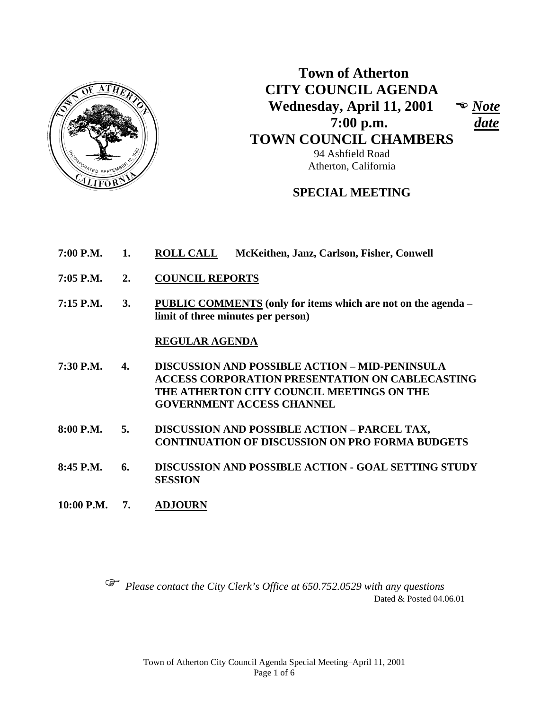

 **Town of Atherton CITY COUNCIL AGENDA Wednesday, April 11, 2001**  *Note*  **7:00 p.m.** *date*  **TOWN COUNCIL CHAMBERS** 94 Ashfield Road

**SPECIAL MEETING** 

Atherton, California

- **7:00 P.M. 1. ROLL CALL McKeithen, Janz, Carlson, Fisher, Conwell**
- **7:05 P.M. 2. COUNCIL REPORTS**
- **7:15 P.M. 3. PUBLIC COMMENTS (only for items which are not on the agenda limit of three minutes per person)**

#### **REGULAR AGENDA**

- **7:30 P.M. 4. DISCUSSION AND POSSIBLE ACTION MID-PENINSULA ACCESS CORPORATION PRESENTATION ON CABLECASTING THE ATHERTON CITY COUNCIL MEETINGS ON THE GOVERNMENT ACCESS CHANNEL**
- **8:00 P.M. 5. DISCUSSION AND POSSIBLE ACTION PARCEL TAX, CONTINUATION OF DISCUSSION ON PRO FORMA BUDGETS**
- **8:45 P.M. 6. DISCUSSION AND POSSIBLE ACTION GOAL SETTING STUDY SESSION**
- **10:00 P.M. 7. ADJOURN**

 *Please contact the City Clerk's Office at 650.752.0529 with any questions*  Dated & Posted 04.06.01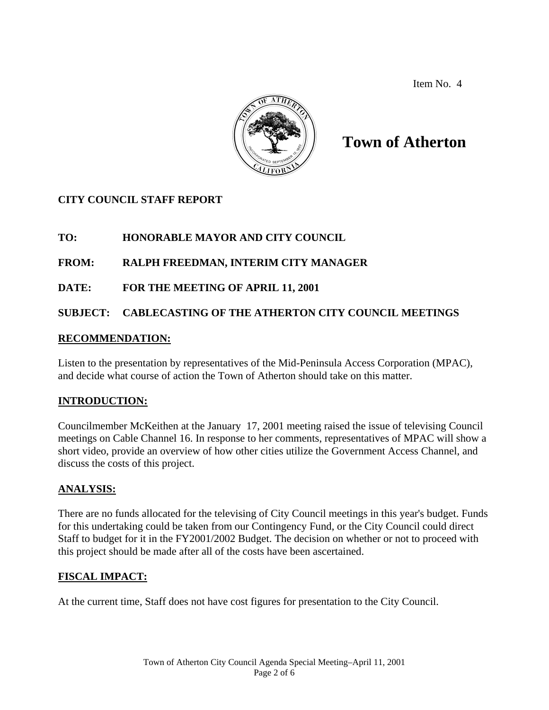Item No. 4



## **Town of Atherton**

## **CITY COUNCIL STAFF REPORT**

## **TO: HONORABLE MAYOR AND CITY COUNCIL**

#### **FROM: RALPH FREEDMAN, INTERIM CITY MANAGER**

#### **DATE: FOR THE MEETING OF APRIL 11, 2001**

#### **SUBJECT: CABLECASTING OF THE ATHERTON CITY COUNCIL MEETINGS**

#### **RECOMMENDATION:**

Listen to the presentation by representatives of the Mid-Peninsula Access Corporation (MPAC), and decide what course of action the Town of Atherton should take on this matter.

#### **INTRODUCTION:**

Councilmember McKeithen at the January 17, 2001 meeting raised the issue of televising Council meetings on Cable Channel 16. In response to her comments, representatives of MPAC will show a short video, provide an overview of how other cities utilize the Government Access Channel, and discuss the costs of this project.

#### **ANALYSIS:**

There are no funds allocated for the televising of City Council meetings in this year's budget. Funds for this undertaking could be taken from our Contingency Fund, or the City Council could direct Staff to budget for it in the FY2001/2002 Budget. The decision on whether or not to proceed with this project should be made after all of the costs have been ascertained.

#### **FISCAL IMPACT:**

At the current time, Staff does not have cost figures for presentation to the City Council.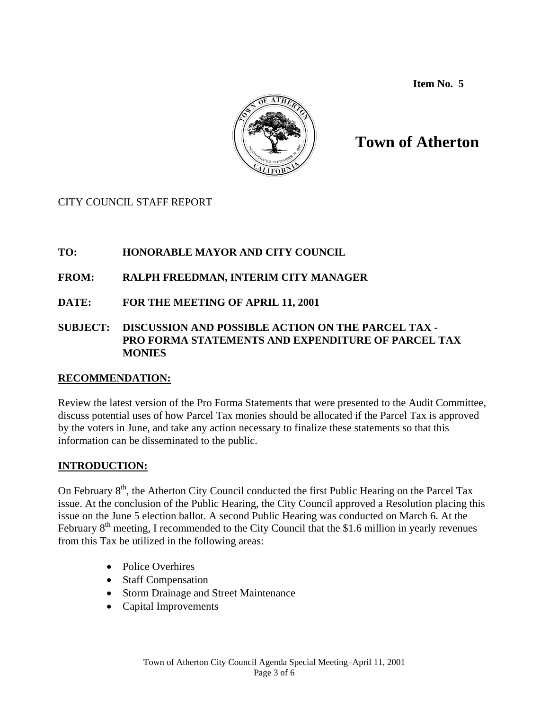**Item No. 5** 



# **Town of Atherton**

CITY COUNCIL STAFF REPORT

## **TO: HONORABLE MAYOR AND CITY COUNCIL**

## **FROM: RALPH FREEDMAN, INTERIM CITY MANAGER**

**DATE: FOR THE MEETING OF APRIL 11, 2001** 

#### **SUBJECT: DISCUSSION AND POSSIBLE ACTION ON THE PARCEL TAX - PRO FORMA STATEMENTS AND EXPENDITURE OF PARCEL TAX MONIES**

## **RECOMMENDATION:**

Review the latest version of the Pro Forma Statements that were presented to the Audit Committee, discuss potential uses of how Parcel Tax monies should be allocated if the Parcel Tax is approved by the voters in June, and take any action necessary to finalize these statements so that this information can be disseminated to the public.

## **INTRODUCTION:**

On February 8<sup>th</sup>, the Atherton City Council conducted the first Public Hearing on the Parcel Tax issue. At the conclusion of the Public Hearing, the City Council approved a Resolution placing this issue on the June 5 election ballot. A second Public Hearing was conducted on March 6. At the February  $8<sup>th</sup>$  meeting, I recommended to the City Council that the \$1.6 million in yearly revenues from this Tax be utilized in the following areas:

- Police Overhires
- Staff Compensation
- Storm Drainage and Street Maintenance
- Capital Improvements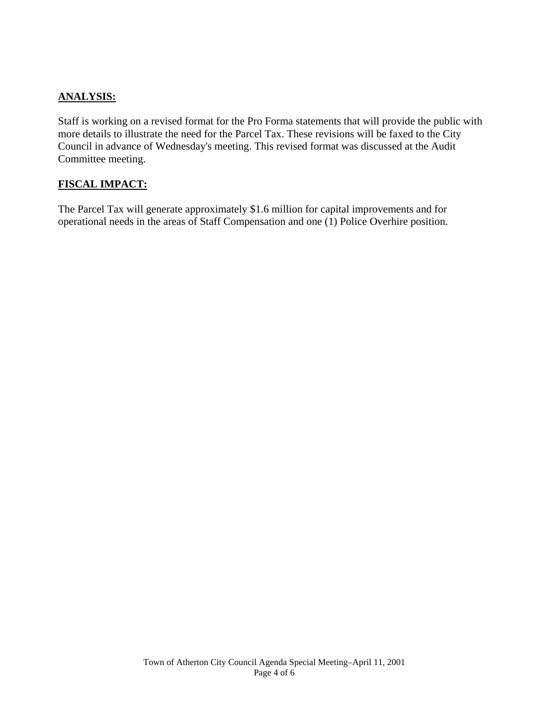#### **ANALYSIS:**

Staff is working on a revised format for the Pro Forma statements that will provide the public with more details to illustrate the need for the Parcel Tax. These revisions will be faxed to the City Council in advance of Wednesday's meeting. This revised format was discussed at the Audit Committee meeting.

#### **FISCAL IMPACT:**

The Parcel Tax will generate approximately \$1.6 million for capital improvements and for operational needs in the areas of Staff Compensation and one (1) Police Overhire position.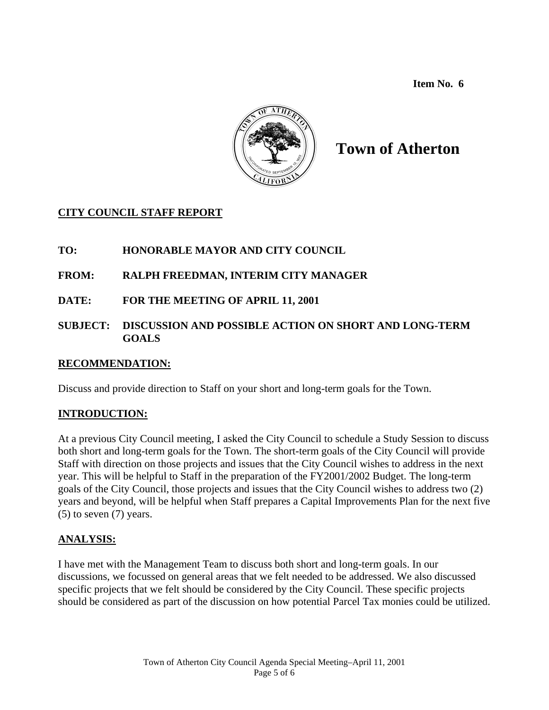**Item No. 6** 



## **Town of Atherton**

## **CITY COUNCIL STAFF REPORT**

## **TO: HONORABLE MAYOR AND CITY COUNCIL**

## **FROM: RALPH FREEDMAN, INTERIM CITY MANAGER**

**DATE: FOR THE MEETING OF APRIL 11, 2001** 

#### **SUBJECT: DISCUSSION AND POSSIBLE ACTION ON SHORT AND LONG-TERM GOALS**

## **RECOMMENDATION:**

Discuss and provide direction to Staff on your short and long-term goals for the Town.

## **INTRODUCTION:**

At a previous City Council meeting, I asked the City Council to schedule a Study Session to discuss both short and long-term goals for the Town. The short-term goals of the City Council will provide Staff with direction on those projects and issues that the City Council wishes to address in the next year. This will be helpful to Staff in the preparation of the FY2001/2002 Budget. The long-term goals of the City Council, those projects and issues that the City Council wishes to address two (2) years and beyond, will be helpful when Staff prepares a Capital Improvements Plan for the next five  $(5)$  to seven  $(7)$  years.

## **ANALYSIS:**

I have met with the Management Team to discuss both short and long-term goals. In our discussions, we focussed on general areas that we felt needed to be addressed. We also discussed specific projects that we felt should be considered by the City Council. These specific projects should be considered as part of the discussion on how potential Parcel Tax monies could be utilized.